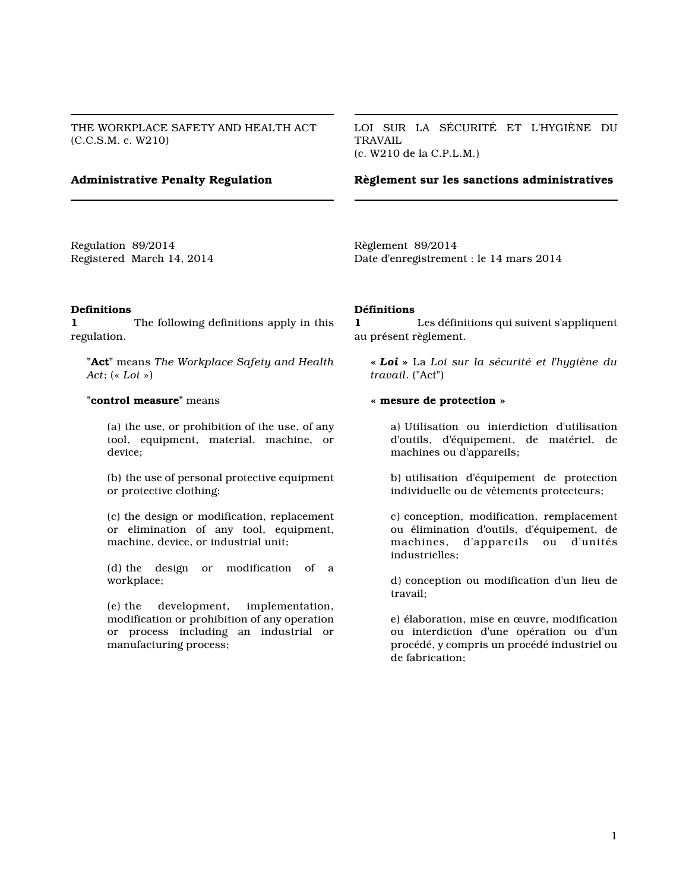THE WORKPLACE SAFETY AND HEALTH ACT (C.C.S.M. c. W210)

LOI SUR LA SÉCURITÉ ET L'HYGIÈNE DU TRAVAIL (c. W210 de la C.P.L.M.)

## **Administrative Penalty Regulation**

**Règlement sur les sanctions administratives**

Regulation 89/2014 Registered March 14, 2014 Règlement 89/2014 Date d'enregistrement : le 14 mars 2014

#### **Definitions**

**1** The following definitions apply in this regulation.

**"Act"** means *The Workplace Safety and Health Act*; (« *Loi* »)

### **"control measure"** means

(a) the use, or prohibition of the use, of any tool, equipment, material, machine, or device;

(b) the use of personal protective equipment or protective clothing;

(c) the design or modification, replacement or elimination of any tool, equipment, machine, device, or industrial unit;

(d) the design or modification of a workplace;

(e) the development, implementation, modification or prohibition of any operation or process including an industrial or manufacturing process;

### **Définitions**

**1** Les définitions qui suivent s'appliquent au présent règlement.

**«** *Loi* **»** La *Loi sur la sécurité et l'hygiène du travail*. ("Act")

#### **« mesure de protection »**

a) Utilisation ou interdiction d'utilisation d'outils, d'équipement, de matériel, de machines ou d'appareils;

b) utilisation d'équipement de protection individuelle ou de vêtements protecteurs;

c) conception, modification, remplacement ou élimination d'outils, d'équipement, de machines, d'appareils ou d'unités industrielles;

d) conception ou modification d'un lieu de travail;

e) élaboration, mise en œuvre, modification ou interdiction d'une opération ou d'un procédé, y compris un procédé industriel ou de fabrication;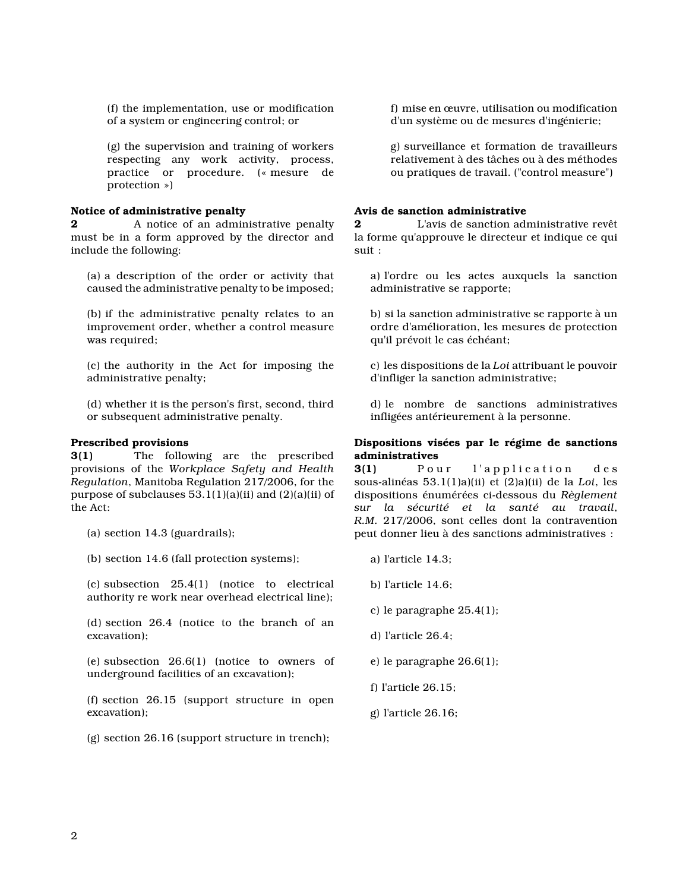(f) the implementation, use or modification of a system or engineering control; or

(g) the supervision and training of workers respecting any work activity, process, practice or procedure. (« mesure de protection »)

## **Notice of administrative penalty**

**2** A notice of an administrative penalty must be in a form approved by the director and include the following:

(a) a description of the order or activity that caused the administrative penalty to be imposed;

(b) if the administrative penalty relates to an improvement order, whether a control measure was required;

(c) the authority in the Act for imposing the administrative penalty;

(d) whether it is the person's first, second, third or subsequent administrative penalty.

## **Prescribed provisions**

**3(1)** The following are the prescribed provisions of the *Workplace Safety and Health Regulation*, Manitoba Regulation 217/2006, for the purpose of subclauses  $53.1(1)(a)(ii)$  and  $(2)(a)(ii)$  of the Act:

(a) section 14.3 (guardrails);

(b) section 14.6 (fall protection systems);

(c) subsection 25.4(1) (notice to electrical authority re work near overhead electrical line);

(d) section 26.4 (notice to the branch of an excavation);

(e) subsection 26.6(1) (notice to owners of underground facilities of an excavation);

(f) section 26.15 (support structure in open excavation);

(g) section 26.16 (support structure in trench);

f) mise en œuvre, utilisation ou modification d'un système ou de mesures d'ingénierie;

g) surveillance et formation de travailleurs relativement à des tâches ou à des méthodes ou pratiques de travail. ("control measure")

## **Avis de sanction administrative**

**2** L'avis de sanction administrative revêt la forme qu'approuve le directeur et indique ce qui suit :

a) l'ordre ou les actes auxquels la sanction administrative se rapporte;

b) si la sanction administrative se rapporte à un ordre d'amélioration, les mesures de protection qu'il prévoit le cas échéant;

c) les dispositions de la *Loi* attribuant le pouvoir d'infliger la sanction administrative;

d) le nombre de sanctions administratives infligées antérieurement à la personne.

## **Dispositions visées par le régime de sanctions administratives**

**3(1)** Pour l'application des sous-alinéas 53.1(1)a)(ii) et (2)a)(ii) de la *Loi*, les dispositions énumérées ci-dessous du *Règlement sur la sécurité et la santé au travail*, *R.M.* 217/2006, sont celles dont la contravention peut donner lieu à des sanctions administratives :

- a) l'article 14.3;
- b) l'article 14.6;
- c) le paragraphe 25.4(1);
- d) l'article 26.4;
- e) le paragraphe 26.6(1);
- f) l'article 26.15;
- g) l'article 26.16;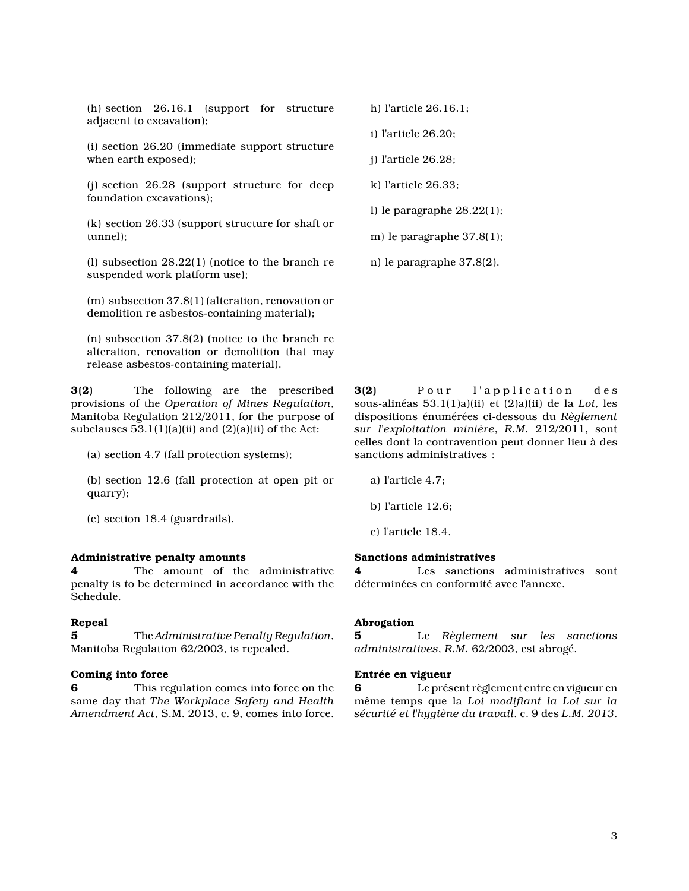(h) section 26.16.1 (support for structure adjacent to excavation);

(i) section 26.20 (immediate support structure when earth exposed);

(j) section 26.28 (support structure for deep foundation excavations);

(k) section 26.33 (support structure for shaft or tunnel);

(l) subsection 28.22(1) (notice to the branch re suspended work platform use);

(m) subsection 37.8(1) (alteration, renovation or demolition re asbestos-containing material);

(n) subsection 37.8(2) (notice to the branch re alteration, renovation or demolition that may release asbestos-containing material).

**3(2)** The following are the prescribed provisions of the *Operation of Mines Regulation*, Manitoba Regulation 212/2011, for the purpose of subclauses  $53.1(1)(a)(ii)$  and  $(2)(a)(ii)$  of the Act:

(a) section 4.7 (fall protection systems);

(b) section 12.6 (fall protection at open pit or quarry);

(c) section 18.4 (guardrails).

#### **Administrative penalty amounts**

**4** The amount of the administrative penalty is to be determined in accordance with the Schedule.

#### **Repeal**

**5** The *Administrative Penalty Regulation*, Manitoba Regulation 62/2003, is repealed.

### **Coming into force**

**6** This regulation comes into force on the same day that *The Workplace Safety and Health Amendment Act*, S.M. 2013, c. 9, comes into force.

h) l'article 26.16.1;

i) l'article 26.20;

j) l'article 26.28;

k) l'article 26.33;

l) le paragraphe 28.22(1);

m) le paragraphe 37.8(1);

n) le paragraphe 37.8(2).

**3(2)** Pour l'application des sous-alinéas 53.1(1)a)(ii) et (2)a)(ii) de la *Loi*, les dispositions énumérées ci-dessous du *Règlement sur l'exploitation minière*, *R.M.* 212/2011, sont celles dont la contravention peut donner lieu à des sanctions administratives :

a) l'article 4.7;

b) l'article 12.6;

c) l'article 18.4.

## **Sanctions administratives**

Les sanctions administratives sont déterminées en conformité avec l'annexe.

#### **Abrogation**

**5** Le *Règlement sur les sanctions administratives*, *R.M.* 62/2003, est abrogé.

### **Entrée en vigueur**

**6** Le présent règlement entre en vigueur en même temps que la *Loi modifiant la Loi sur la sécurité et l'hygiène du travail*, c. 9 des *L.M. 2013*.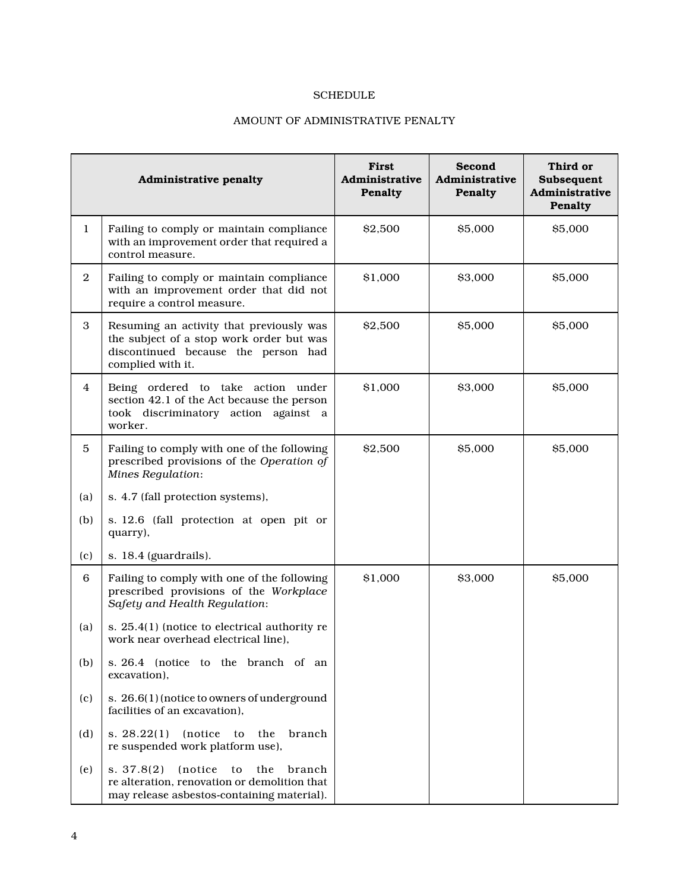# SCHEDULE

# AMOUNT OF ADMINISTRATIVE PENALTY

|                | Administrative penalty                                                                                                                           | First<br>Administrative<br>Penalty | Second<br>Administrative<br>Penalty | Third or<br>Subsequent<br>Administrative<br>Penalty |
|----------------|--------------------------------------------------------------------------------------------------------------------------------------------------|------------------------------------|-------------------------------------|-----------------------------------------------------|
| $\bf{1}$       | Failing to comply or maintain compliance<br>with an improvement order that required a<br>control measure.                                        | \$2,500                            | \$5,000                             | \$5,000                                             |
| $\overline{2}$ | Failing to comply or maintain compliance<br>with an improvement order that did not<br>require a control measure.                                 | \$1,000                            | \$3,000                             | \$5,000                                             |
| 3              | Resuming an activity that previously was<br>the subject of a stop work order but was<br>discontinued because the person had<br>complied with it. | \$2,500                            | \$5,000                             | \$5,000                                             |
| $\overline{4}$ | Being ordered to take action under<br>section 42.1 of the Act because the person<br>took discriminatory action against a<br>worker.              | \$1,000                            | \$3,000                             | \$5,000                                             |
| 5              | Failing to comply with one of the following<br>prescribed provisions of the Operation of<br><b>Mines Regulation:</b>                             | \$2,500                            | \$5,000                             | \$5,000                                             |
| (a)            | s. 4.7 (fall protection systems),                                                                                                                |                                    |                                     |                                                     |
| (b)            | s. 12.6 (fall protection at open pit or<br>quarry),                                                                                              |                                    |                                     |                                                     |
| (c)            | s. 18.4 (guardrails).                                                                                                                            |                                    |                                     |                                                     |
| 6              | Failing to comply with one of the following<br>prescribed provisions of the Workplace<br>Safety and Health Regulation:                           | \$1,000                            | \$3,000                             | \$5,000                                             |
| (a)            | s. 25.4(1) (notice to electrical authority re<br>work near overhead electrical line).                                                            |                                    |                                     |                                                     |
| (b)            | s. 26.4 (notice to the branch of an<br>excavation),                                                                                              |                                    |                                     |                                                     |
| (c)            | s. 26.6(1) (notice to owners of underground<br>facilities of an excavation),                                                                     |                                    |                                     |                                                     |
| (d)            | s. 28.22(1)<br>(notice)<br>the<br>branch<br>to<br>re suspended work platform use),                                                               |                                    |                                     |                                                     |
| (e)            | s. 37.8(2)<br>(notice)<br>to<br>the<br>branch<br>re alteration, renovation or demolition that<br>may release asbestos-containing material).      |                                    |                                     |                                                     |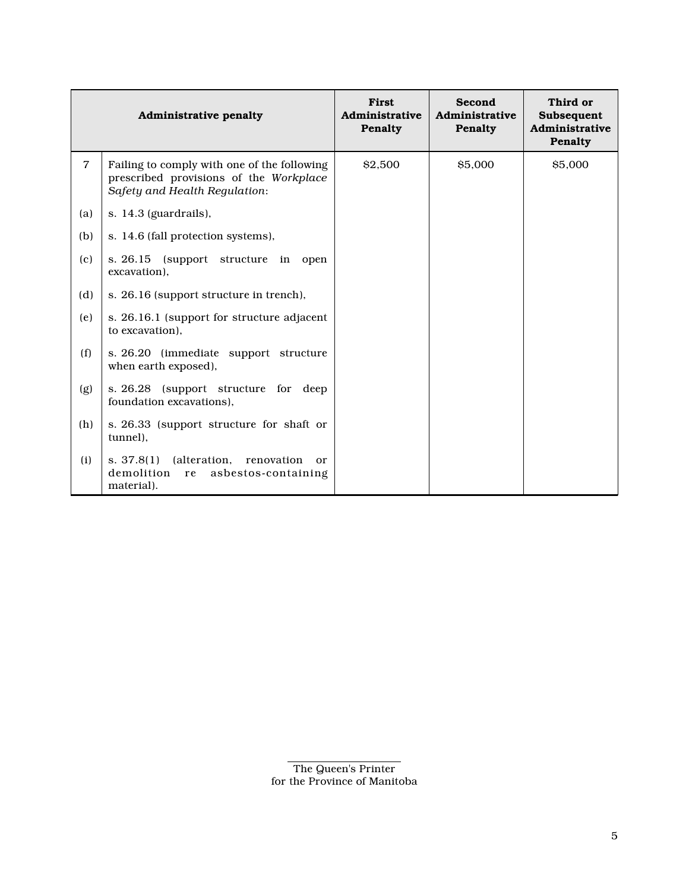|     | Administrative penalty                                                                                                 | First<br>Administrative<br>Penalty | Second<br>Administrative<br>Penalty | Third or<br>Subsequent<br>Administrative<br>Penalty |
|-----|------------------------------------------------------------------------------------------------------------------------|------------------------------------|-------------------------------------|-----------------------------------------------------|
| 7   | Failing to comply with one of the following<br>prescribed provisions of the Workplace<br>Safety and Health Regulation: | \$2,500                            | \$5,000                             | \$5,000                                             |
| (a) | s. 14.3 (guardrails),                                                                                                  |                                    |                                     |                                                     |
| (b) | s. 14.6 (fall protection systems),                                                                                     |                                    |                                     |                                                     |
| (c) | s. 26.15<br>(support structure in open<br>excavation).                                                                 |                                    |                                     |                                                     |
| (d) | s. 26.16 (support structure in trench),                                                                                |                                    |                                     |                                                     |
| (e) | s. 26.16.1 (support for structure adjacent<br>to excavation).                                                          |                                    |                                     |                                                     |
| (f) | s. 26.20 (immediate support structure<br>when earth exposed),                                                          |                                    |                                     |                                                     |
| (g) | s. 26.28 (support structure for deep<br>foundation excavations),                                                       |                                    |                                     |                                                     |
| (h) | s. 26.33 (support structure for shaft or<br>tunnel).                                                                   |                                    |                                     |                                                     |
| (i) | (alteration,<br>s. 37.8(1)<br>renovation<br>or<br>demolition<br>asbestos-containing<br>re<br>material).                |                                    |                                     |                                                     |

The Queen's Printer for the Province of Manitoba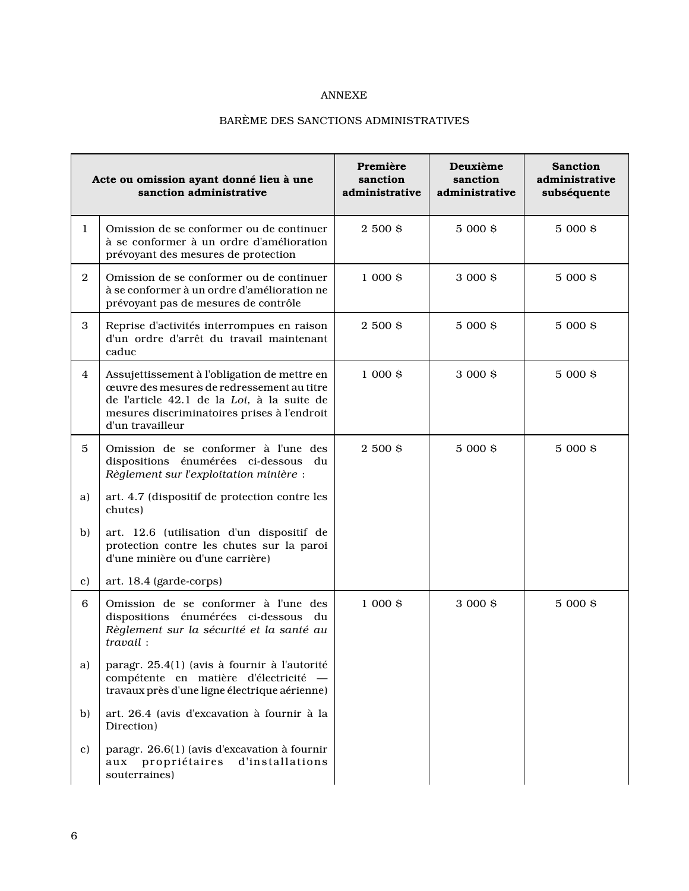# ANNEXE

# BARÈME DES SANCTIONS ADMINISTRATIVES

| Acte ou omission ayant donné lieu à une<br>sanction administrative |                                                                                                                                                                                                             | Première<br>sanction<br>administrative | Deuxième<br>sanction<br>administrative | <b>Sanction</b><br>administrative<br>subséquente |
|--------------------------------------------------------------------|-------------------------------------------------------------------------------------------------------------------------------------------------------------------------------------------------------------|----------------------------------------|----------------------------------------|--------------------------------------------------|
| 1                                                                  | Omission de se conformer ou de continuer<br>à se conformer à un ordre d'amélioration<br>prévoyant des mesures de protection                                                                                 | 2 500 \$                               | 5 000 \$                               | 5 000 \$                                         |
| $\overline{2}$                                                     | Omission de se conformer ou de continuer<br>à se conformer à un ordre d'amélioration ne<br>prévoyant pas de mesures de contrôle                                                                             | $1000$ \$                              | 3 000 \$                               | 5 000 \$                                         |
| 3                                                                  | Reprise d'activités interrompues en raison<br>d'un ordre d'arrêt du travail maintenant<br>caduc                                                                                                             | 2 500 \$                               | 5 000 \$                               | 5 000 \$                                         |
| 4                                                                  | Assujettissement à l'obligation de mettre en<br>œuvre des mesures de redressement au titre<br>de l'article 42.1 de la Loi, à la suite de<br>mesures discriminatoires prises à l'endroit<br>d'un travailleur | $1000$ \$                              | 3 000 \$                               | 5 000 \$                                         |
| 5                                                                  | Omission de se conformer à l'une des<br>dispositions énumérées ci-dessous du<br>Règlement sur l'exploitation minière :                                                                                      | 2 500 \$                               | 5 000 \$                               | 5 000 \$                                         |
| a)                                                                 | art. 4.7 (dispositif de protection contre les<br>chutes)                                                                                                                                                    |                                        |                                        |                                                  |
| b)                                                                 | art. 12.6 (utilisation d'un dispositif de<br>protection contre les chutes sur la paroi<br>d'une minière ou d'une carrière)                                                                                  |                                        |                                        |                                                  |
| c)                                                                 | art. 18.4 (garde-corps)                                                                                                                                                                                     |                                        |                                        |                                                  |
| 6                                                                  | Omission de se conformer à l'une des<br>dispositions énumérées ci-dessous du<br>Règlement sur la sécurité et la santé au<br>travail:                                                                        | $1000$ \$                              | 3 000 \$                               | 5 000 \$                                         |
| a)                                                                 | paragr. 25.4(1) (avis à fournir à l'autorité<br>compétente en matière d'électricité -<br>travaux près d'une ligne électrique aérienne)                                                                      |                                        |                                        |                                                  |
| b)                                                                 | art. 26.4 (avis d'excavation à fournir à la<br>Direction)                                                                                                                                                   |                                        |                                        |                                                  |
| c)                                                                 | paragr. 26.6(1) (avis d'excavation à fournir<br>aux propriétaires<br>d'installations<br>souterraines)                                                                                                       |                                        |                                        |                                                  |